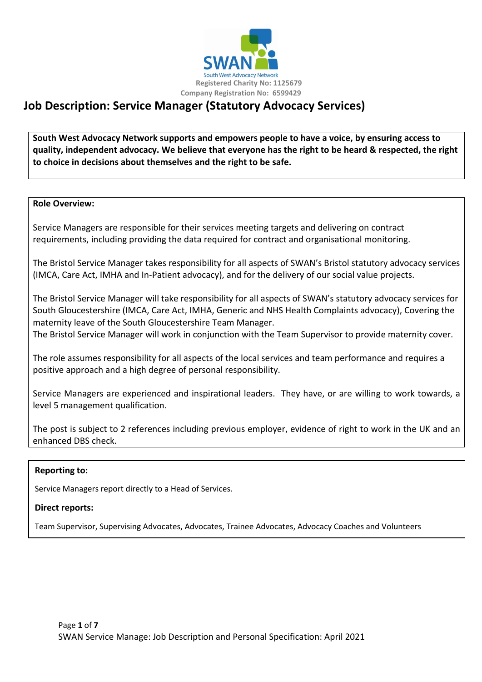

# **Job Description: Service Manager (Statutory Advocacy Services)**

**South West Advocacy Network supports and empowers people to have a voice, by ensuring access to quality, independent advocacy. We believe that everyone has the right to be heard & respected, the right to choice in decisions about themselves and the right to be safe.**

#### **Role Overview:**

Service Managers are responsible for their services meeting targets and delivering on contract requirements, including providing the data required for contract and organisational monitoring.

The Bristol Service Manager takes responsibility for all aspects of SWAN's Bristol statutory advocacy services (IMCA, Care Act, IMHA and In-Patient advocacy), and for the delivery of our social value projects.

The Bristol Service Manager will take responsibility for all aspects of SWAN's statutory advocacy services for South Gloucestershire (IMCA, Care Act, IMHA, Generic and NHS Health Complaints advocacy), Covering the maternity leave of the South Gloucestershire Team Manager.

The Bristol Service Manager will work in conjunction with the Team Supervisor to provide maternity cover.

The role assumes responsibility for all aspects of the local services and team performance and requires a positive approach and a high degree of personal responsibility.

Service Managers are experienced and inspirational leaders. They have, or are willing to work towards, a level 5 management qualification.

The post is subject to 2 references including previous employer, evidence of right to work in the UK and an enhanced DBS check.

#### **Reporting to:**

Service Managers report directly to a Head of Services.

#### **Direct reports:**

Team Supervisor, Supervising Advocates, Advocates, Trainee Advocates, Advocacy Coaches and Volunteers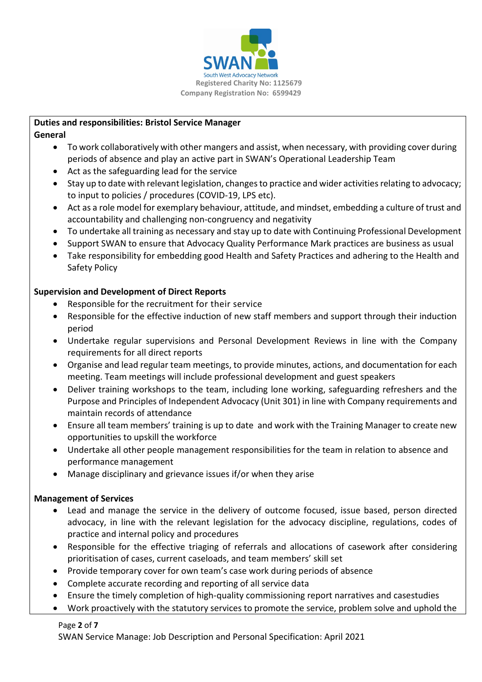

#### **Duties and responsibilities: Bristol Service Manager General**

- To work collaboratively with other mangers and assist, when necessary, with providing cover during periods of absence and play an active part in SWAN's Operational Leadership Team
- Act as the safeguarding lead for the service
- Stay up to date with relevant legislation, changes to practice and wider activities relating to advocacy; to input to policies / procedures (COVID-19, LPS etc).
- Act as a role model for exemplary behaviour, attitude, and mindset, embedding a culture of trust and accountability and challenging non-congruency and negativity
- To undertake all training as necessary and stay up to date with Continuing Professional Development
- Support SWAN to ensure that Advocacy Quality Performance Mark practices are business as usual
- Take responsibility for embedding good Health and Safety Practices and adhering to the Health and Safety Policy

# **Supervision and Development of Direct Reports**

- Responsible for the recruitment for their service
- Responsible for the effective induction of new staff members and support through their induction period
- Undertake regular supervisions and Personal Development Reviews in line with the Company requirements for all direct reports
- Organise and lead regular team meetings, to provide minutes, actions, and documentation for each meeting. Team meetings will include professional development and guest speakers
- Deliver training workshops to the team, including lone working, safeguarding refreshers and the Purpose and Principles of Independent Advocacy (Unit 301) in line with Company requirements and maintain records of attendance
- Ensure all team members' training is up to date and work with the Training Manager to create new opportunities to upskill the workforce
- Undertake all other people management responsibilities for the team in relation to absence and performance management
- Manage disciplinary and grievance issues if/or when they arise

# **Management of Services**

- Lead and manage the service in the delivery of outcome focused, issue based, person directed advocacy, in line with the relevant legislation for the advocacy discipline, regulations, codes of practice and internal policy and procedures
- Responsible for the effective triaging of referrals and allocations of casework after considering prioritisation of cases, current caseloads, and team members' skill set
- Provide temporary cover for own team's case work during periods of absence
- Complete accurate recording and reporting of all service data
- Ensure the timely completion of high-quality commissioning report narratives and casestudies
- Work proactively with the statutory services to promote the service, problem solve and uphold the

Page **2** of **7**

SWAN Service Manage: Job Description and Personal Specification: April 2021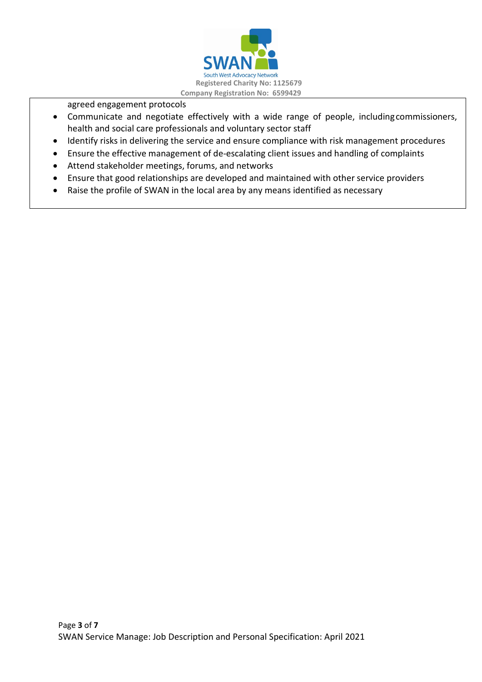

agreed engagement protocols

- Communicate and negotiate effectively with a wide range of people, includingcommissioners, health and social care professionals and voluntary sector staff
- Identify risks in delivering the service and ensure compliance with risk management procedures
- Ensure the effective management of de-escalating client issues and handling of complaints
- Attend stakeholder meetings, forums, and networks
- Ensure that good relationships are developed and maintained with other service providers
- Raise the profile of SWAN in the local area by any means identified as necessary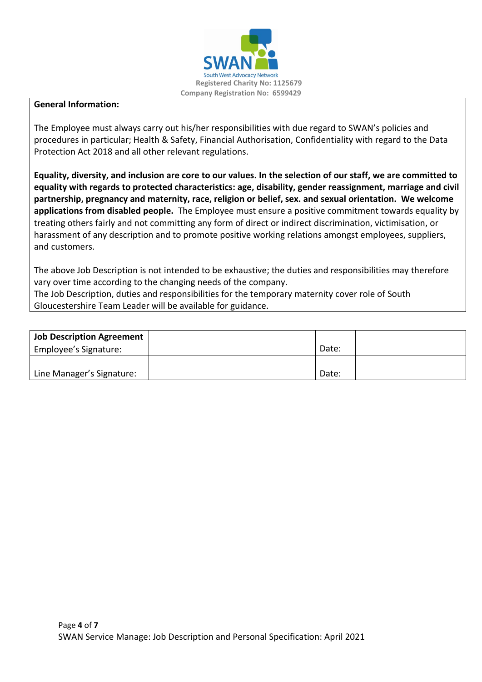

#### **General Information:**

The Employee must always carry out his/her responsibilities with due regard to SWAN's policies and procedures in particular; Health & Safety, Financial Authorisation, Confidentiality with regard to the Data Protection Act 2018 and all other relevant regulations.

**Equality, diversity, and inclusion are core to our values. In the selection of our staff, we are committed to equality with regards to protected characteristics: age, disability, gender reassignment, marriage and civil partnership, pregnancy and maternity, race, religion or belief, sex. and sexual orientation. We welcome applications from disabled people.** The Employee must ensure a positive commitment towards equality by treating others fairly and not committing any form of direct or indirect discrimination, victimisation, or harassment of any description and to promote positive working relations amongst employees, suppliers, and customers.

The above Job Description is not intended to be exhaustive; the duties and responsibilities may therefore vary over time according to the changing needs of the company. The Job Description, duties and responsibilities for the temporary maternity cover role of South Gloucestershire Team Leader will be available for guidance.

| Job Description Agreement |       |  |
|---------------------------|-------|--|
| Employee's Signature:     | Date: |  |
|                           |       |  |
| Line Manager's Signature: | Date: |  |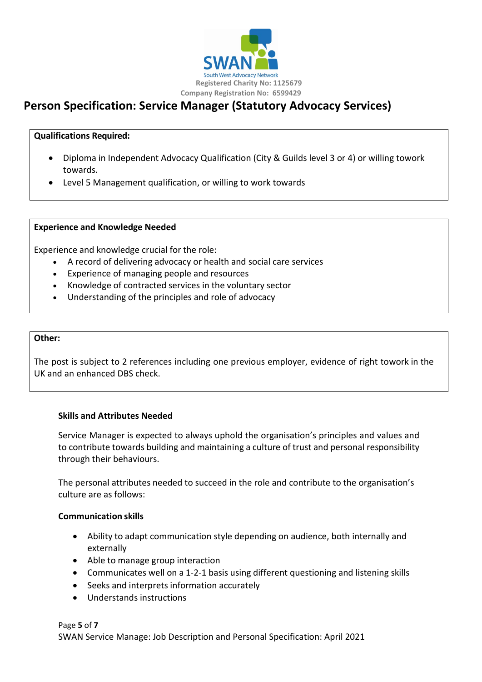

# **Person Specification: Service Manager (Statutory Advocacy Services)**

#### **Qualifications Required:**

- Diploma in Independent Advocacy Qualification (City & Guilds level 3 or 4) or willing towork towards.
- Level 5 Management qualification, or willing to work towards

#### **Experience and Knowledge Needed**

Experience and knowledge crucial for the role:

- A record of delivering advocacy or health and social care services
- Experience of managing people and resources
- Knowledge of contracted services in the voluntary sector
- Understanding of the principles and role of advocacy

#### **Other:**

The post is subject to 2 references including one previous employer, evidence of right towork in the UK and an enhanced DBS check.

#### **Skills and Attributes Needed**

Service Manager is expected to always uphold the organisation's principles and values and to contribute towards building and maintaining a culture of trust and personal responsibility through their behaviours.

The personal attributes needed to succeed in the role and contribute to the organisation's culture are as follows:

#### **Communication skills**

- Ability to adapt communication style depending on audience, both internally and externally
- Able to manage group interaction
- Communicates well on a 1-2-1 basis using different questioning and listening skills
- Seeks and interprets information accurately
- Understands instructions

Page **5** of **7** SWAN Service Manage: Job Description and Personal Specification: April 2021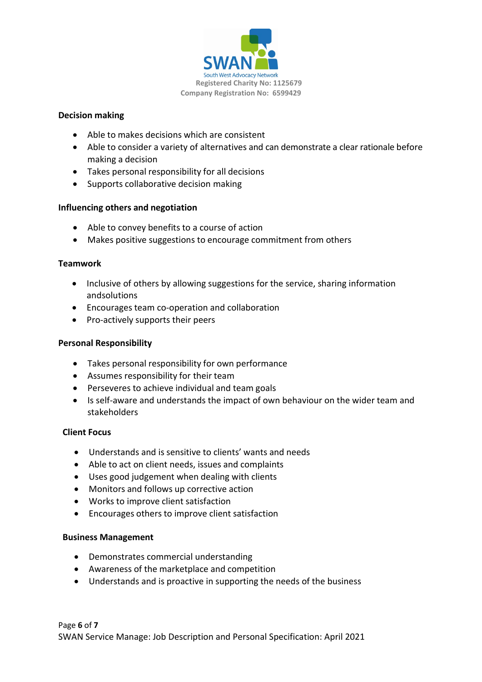

#### **Decision making**

- Able to makes decisions which are consistent
- Able to consider a variety of alternatives and can demonstrate a clear rationale before making a decision
- Takes personal responsibility for all decisions
- Supports collaborative decision making

#### **Influencing others and negotiation**

- Able to convey benefits to a course of action
- Makes positive suggestions to encourage commitment from others

#### **Teamwork**

- Inclusive of others by allowing suggestions for the service, sharing information andsolutions
- Encourages team co-operation and collaboration
- Pro-actively supports their peers

#### **Personal Responsibility**

- Takes personal responsibility for own performance
- Assumes responsibility for their team
- Perseveres to achieve individual and team goals
- Is self-aware and understands the impact of own behaviour on the wider team and stakeholders

#### **Client Focus**

- Understands and is sensitive to clients' wants and needs
- Able to act on client needs, issues and complaints
- Uses good judgement when dealing with clients
- Monitors and follows up corrective action
- Works to improve client satisfaction
- Encourages others to improve client satisfaction

#### **Business Management**

- Demonstrates commercial understanding
- Awareness of the marketplace and competition
- Understands and is proactive in supporting the needs of the business